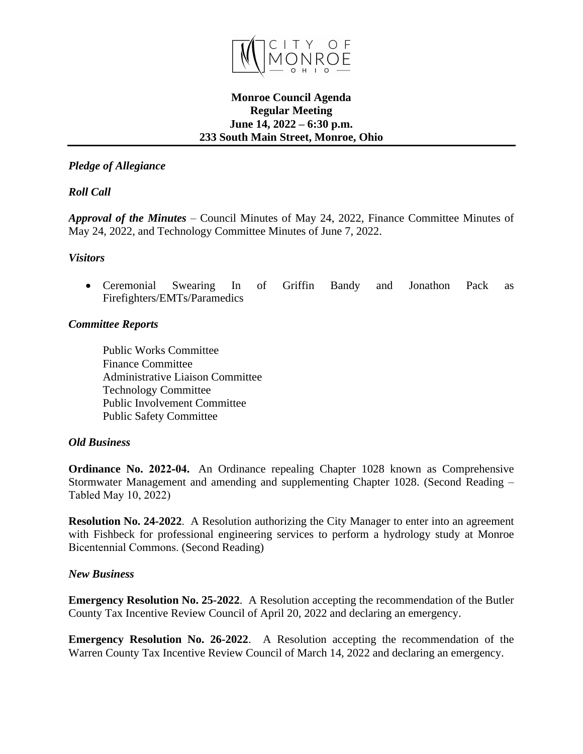

## **Monroe Council Agenda Regular Meeting June 14, 2022 – 6:30 p.m. 233 South Main Street, Monroe, Ohio**

# *Pledge of Allegiance*

## *Roll Call*

*Approval of the Minutes* – Council Minutes of May 24, 2022, Finance Committee Minutes of May 24, 2022, and Technology Committee Minutes of June 7, 2022.

#### *Visitors*

 Ceremonial Swearing In of Griffin Bandy and Jonathon Pack as Firefighters/EMTs/Paramedics

## *Committee Reports*

Public Works Committee Finance Committee Administrative Liaison Committee Technology Committee Public Involvement Committee Public Safety Committee

## *Old Business*

**Ordinance No. 2022-04.** An Ordinance repealing Chapter 1028 known as Comprehensive Stormwater Management and amending and supplementing Chapter 1028. (Second Reading – Tabled May 10, 2022)

**Resolution No. 24-2022**. A Resolution authorizing the City Manager to enter into an agreement with Fishbeck for professional engineering services to perform a hydrology study at Monroe Bicentennial Commons. (Second Reading)

## *New Business*

**Emergency Resolution No. 25-2022**. A Resolution accepting the recommendation of the Butler County Tax Incentive Review Council of April 20, 2022 and declaring an emergency.

**Emergency Resolution No. 26-2022**. A Resolution accepting the recommendation of the Warren County Tax Incentive Review Council of March 14, 2022 and declaring an emergency.